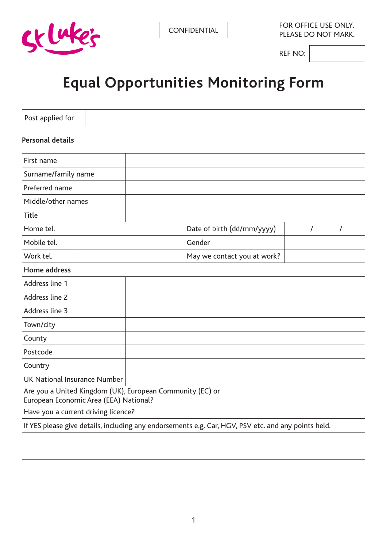

**CONFIDENTIAL** FOR OFFICE USE ONLY. PLEASE DO NOT MARK.

REF NO:

# **Equal Opportunities Monitoring Form**

Post applied for

#### **Personal details**

| First name                                                                                          |  |  |                             |          |          |
|-----------------------------------------------------------------------------------------------------|--|--|-----------------------------|----------|----------|
| Surname/family name                                                                                 |  |  |                             |          |          |
| Preferred name                                                                                      |  |  |                             |          |          |
| Middle/other names                                                                                  |  |  |                             |          |          |
| <b>Title</b>                                                                                        |  |  |                             |          |          |
| Home tel.                                                                                           |  |  | Date of birth (dd/mm/yyyy)  | $\prime$ | $\prime$ |
| Mobile tel.                                                                                         |  |  | Gender                      |          |          |
| Work tel.                                                                                           |  |  | May we contact you at work? |          |          |
| Home address                                                                                        |  |  |                             |          |          |
| Address line 1                                                                                      |  |  |                             |          |          |
| Address line 2                                                                                      |  |  |                             |          |          |
| Address line 3                                                                                      |  |  |                             |          |          |
| Town/city                                                                                           |  |  |                             |          |          |
| County                                                                                              |  |  |                             |          |          |
| Postcode                                                                                            |  |  |                             |          |          |
| Country                                                                                             |  |  |                             |          |          |
| <b>UK National Insurance Number</b>                                                                 |  |  |                             |          |          |
| Are you a United Kingdom (UK), European Community (EC) or<br>European Economic Area (EEA) National? |  |  |                             |          |          |
| Have you a current driving licence?                                                                 |  |  |                             |          |          |
| If YES please give details, including any endorsements e.g. Car, HGV, PSV etc. and any points held. |  |  |                             |          |          |
|                                                                                                     |  |  |                             |          |          |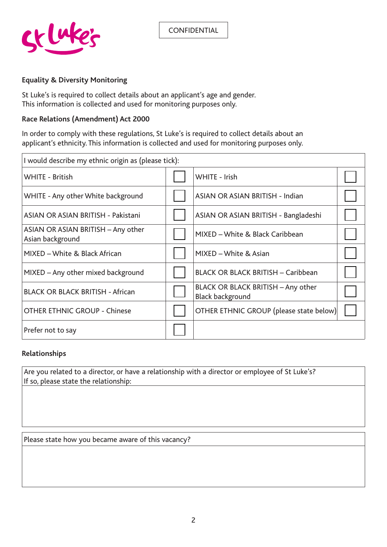

#### **Equality & Diversity Monitoring**

St Luke's is required to collect details about an applicant's age and gender. This information is collected and used for monitoring purposes only.

#### **Race Relations (Amendment) Act 2000**

In order to comply with these regulations, St Luke's is required to collect details about an applicant's ethnicity. This information is collected and used for monitoring purposes only.

| I would describe my ethnic origin as (please tick):    |  |                                                               |  |  |
|--------------------------------------------------------|--|---------------------------------------------------------------|--|--|
| <b>WHITE - British</b>                                 |  | WHITE - Irish                                                 |  |  |
| WHITE - Any other White background                     |  | <b>ASIAN OR ASIAN BRITISH - Indian</b>                        |  |  |
| ASIAN OR ASIAN BRITISH - Pakistani                     |  | ASIAN OR ASIAN BRITISH - Bangladeshi                          |  |  |
| ASIAN OR ASIAN BRITISH - Any other<br>Asian background |  | MIXED - White & Black Caribbean                               |  |  |
| MIXED – White & Black African                          |  | MIXED - White & Asian                                         |  |  |
| MIXED - Any other mixed background                     |  | <b>BLACK OR BLACK BRITISH - Caribbean</b>                     |  |  |
| <b>BLACK OR BLACK BRITISH - African</b>                |  | BLACK OR BLACK BRITISH - Any other<br><b>Black background</b> |  |  |
| <b>OTHER ETHNIC GROUP - Chinese</b>                    |  | OTHER ETHNIC GROUP (please state below)                       |  |  |
| Prefer not to say                                      |  |                                                               |  |  |

#### **Relationships**

Are you related to a director, or have a relationship with a director or employee of St Luke's? If so, please state the relationship:

Please state how you became aware of this vacancy?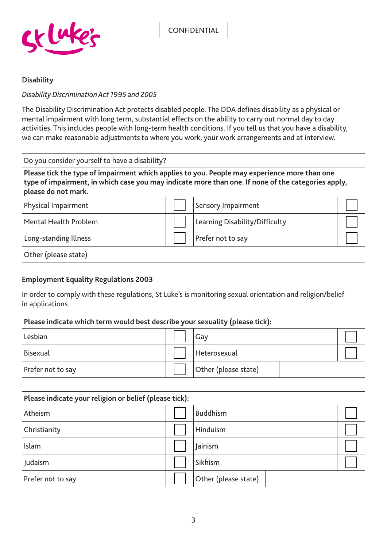

#### **Disability**

#### *Disability Discrimination Act 1995 and 2005*

The Disability Discrimination Act protects disabled people. The DDA defines disability as a physical or mental impairment with long term, substantial effects on the ability to carry out normal day to day activities. This includes people with long-term health conditions. If you tell us that you have a disability, we can make reasonable adjustments to where you work, your work arrangements and at interview.

Do you consider yourself to have a disability? **Please tick the type of impairment which applies to you. People may experience more than one type of impairment, in which case you may indicate more than one. If none of the categories apply, please do not mark.**  Physical Impairment **Sensory Impairment** Mental Health Problem **Learning Disability/Difficulty** Long-standing Illness **Prefer not to say** 

Other (please state)

#### **Employment Equality Regulations 2003**

In order to comply with these regulations, St Luke's is monitoring sexual orientation and religion/belief in applications.

| Please indicate which term would best describe your sexuality (please tick): |  |                      |  |  |
|------------------------------------------------------------------------------|--|----------------------|--|--|
| Lesbian                                                                      |  | Gay                  |  |  |
| <b>Bisexual</b>                                                              |  | Heterosexual         |  |  |
| Prefer not to say                                                            |  | Other (please state) |  |  |

| Please indicate your religion or belief (please tick): |  |                      |  |  |
|--------------------------------------------------------|--|----------------------|--|--|
| Atheism                                                |  | <b>Buddhism</b>      |  |  |
| Christianity                                           |  | Hinduism             |  |  |
| Islam                                                  |  | Jainism              |  |  |
| Judaism                                                |  | Sikhism              |  |  |
| Prefer not to say                                      |  | Other (please state) |  |  |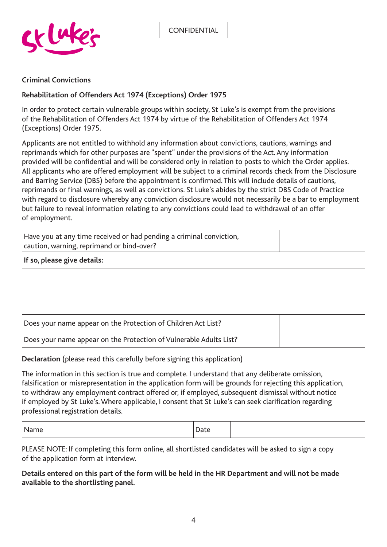

#### **Criminal Convictions**

#### **Rehabilitation of Offenders Act 1974 (Exceptions) Order 1975**

In order to protect certain vulnerable groups within society, St Luke's is exempt from the provisions of the Rehabilitation of Offenders Act 1974 by virtue of the Rehabilitation of Offenders Act 1974 (Exceptions) Order 1975.

Applicants are not entitled to withhold any information about convictions, cautions, warnings and reprimands which for other purposes are "spent" under the provisions of the Act. Any information provided will be confidential and will be considered only in relation to posts to which the Order applies. All applicants who are offered employment will be subject to a criminal records check from the Disclosure and Barring Service (DBS) before the appointment is confirmed. This will include details of cautions, reprimands or final warnings, as well as convictions. St Luke's abides by the strict DBS Code of Practice with regard to disclosure whereby any conviction disclosure would not necessarily be a bar to employment but failure to reveal information relating to any convictions could lead to withdrawal of an offer of employment.

| Have you at any time received or had pending a criminal conviction,<br>caution, warning, reprimand or bind-over? |  |
|------------------------------------------------------------------------------------------------------------------|--|
| If so, please give details:                                                                                      |  |
|                                                                                                                  |  |
|                                                                                                                  |  |
|                                                                                                                  |  |
| Does your name appear on the Protection of Children Act List?                                                    |  |
| Does your name appear on the Protection of Vulnerable Adults List?                                               |  |

**Declaration** (please read this carefully before signing this application)

The information in this section is true and complete. I understand that any deliberate omission, falsification or misrepresentation in the application form will be grounds for rejecting this application, to withdraw any employment contract offered or, if employed, subsequent dismissal without notice if employed by St Luke's. Where applicable, I consent that St Luke's can seek clarification regarding professional registration details.

| . |  |
|---|--|
|---|--|

PLEASE NOTE: If completing this form online, all shortlisted candidates will be asked to sign a copy of the application form at interview.

**Details entered on this part of the form will be held in the HR Department and will not be made available to the shortlisting panel.**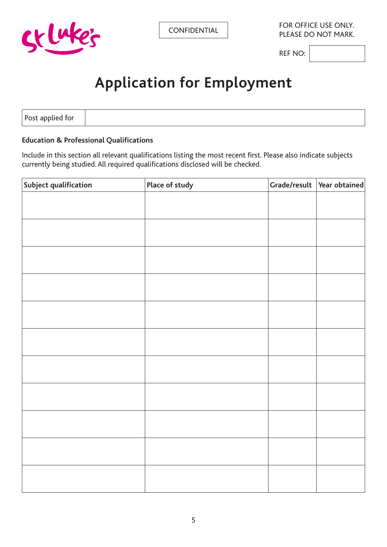

REF NO:

# **Application for Employment**

Post applied for

#### **Education & Professional Qualifications**

Include in this section all relevant qualifications listing the most recent first. Please also indicate subjects currently being studied. All required qualifications disclosed will be checked.

| Subject qualification | Place of study | Grade/result   Year obtained |
|-----------------------|----------------|------------------------------|
|                       |                |                              |
|                       |                |                              |
|                       |                |                              |
|                       |                |                              |
|                       |                |                              |
|                       |                |                              |
|                       |                |                              |
|                       |                |                              |
|                       |                |                              |
|                       |                |                              |
|                       |                |                              |
|                       |                |                              |
|                       |                |                              |
|                       |                |                              |
|                       |                |                              |
|                       |                |                              |
|                       |                |                              |
|                       |                |                              |
|                       |                |                              |
|                       |                |                              |
|                       |                |                              |
|                       |                |                              |
|                       |                |                              |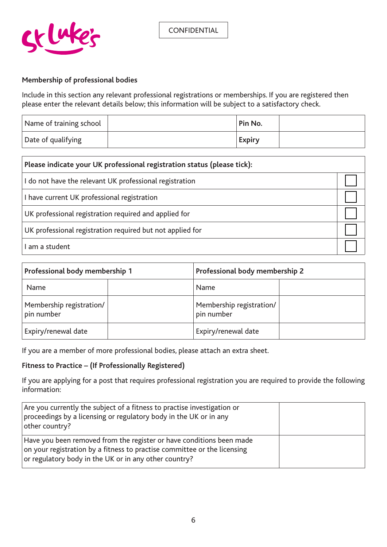

#### **Membership of professional bodies**

Include in this section any relevant professional registrations or memberships. If you are registered then please enter the relevant details below; this information will be subject to a satisfactory check.

| Name of training school | Pin No.       |  |
|-------------------------|---------------|--|
| Date of qualifying      | <b>Expiry</b> |  |

| Please indicate your UK professional registration status (please tick): |  |
|-------------------------------------------------------------------------|--|
| I do not have the relevant UK professional registration                 |  |
| I have current UK professional registration                             |  |
| UK professional registration required and applied for                   |  |
| UK professional registration required but not applied for               |  |
| l am a student                                                          |  |

| Professional body membership 1         | Professional body membership 2         |  |
|----------------------------------------|----------------------------------------|--|
| <b>Name</b>                            | Name                                   |  |
| Membership registration/<br>pin number | Membership registration/<br>pin number |  |
| Expiry/renewal date                    | Expiry/renewal date                    |  |

If you are a member of more professional bodies, please attach an extra sheet.

#### **Fitness to Practice – (If Professionally Registered)**

If you are applying for a post that requires professional registration you are required to provide the following information:

| Are you currently the subject of a fitness to practise investigation or<br>proceedings by a licensing or regulatory body in the UK or in any<br>other country?                                            |  |
|-----------------------------------------------------------------------------------------------------------------------------------------------------------------------------------------------------------|--|
| Have you been removed from the register or have conditions been made<br>on your registration by a fitness to practise committee or the licensing<br>or regulatory body in the UK or in any other country? |  |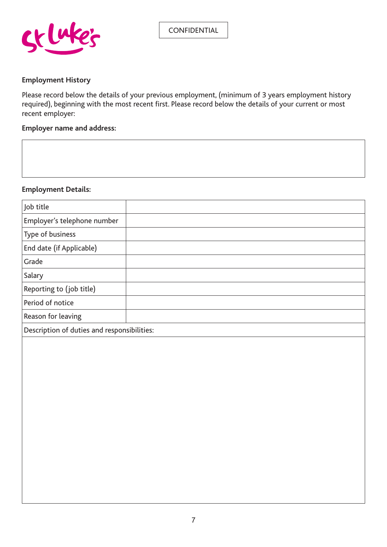

#### **Employment History**

Please record below the details of your previous employment, (minimum of 3 years employment history required), beginning with the most recent first. Please record below the details of your current or most recent employer:

#### **Employer name and address:**

#### **Employment Details:**

| Job title                                   |  |
|---------------------------------------------|--|
| Employer's telephone number                 |  |
| Type of business                            |  |
| End date (if Applicable)                    |  |
| Grade                                       |  |
| Salary                                      |  |
| Reporting to (job title)                    |  |
| Period of notice                            |  |
| Reason for leaving                          |  |
| Description of duties and responsibilities: |  |
|                                             |  |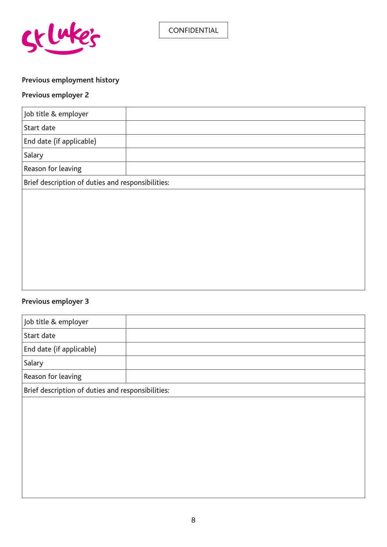

# **Previous employment history**

# **Previous employer 2**

| Job title & employer                              |  |
|---------------------------------------------------|--|
| Start date                                        |  |
| End date (if applicable)                          |  |
| Salary                                            |  |
| Reason for leaving                                |  |
| Brief description of duties and responsibilities: |  |
|                                                   |  |
|                                                   |  |
|                                                   |  |
|                                                   |  |
|                                                   |  |
|                                                   |  |

# **Previous employer 3**

| Job title & employer                              |  |
|---------------------------------------------------|--|
| Start date                                        |  |
| End date (if applicable)                          |  |
| Salary                                            |  |
| Reason for leaving                                |  |
| Brief description of duties and responsibilities: |  |
|                                                   |  |
|                                                   |  |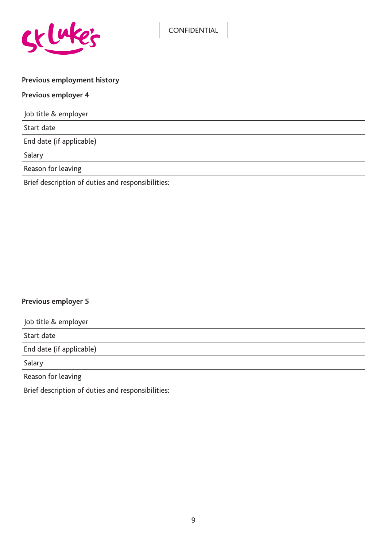

# **Previous employment history**

# **Previous employer 4**

| Job title & employer                              |  |
|---------------------------------------------------|--|
| Start date                                        |  |
| End date (if applicable)                          |  |
| Salary                                            |  |
| Reason for leaving                                |  |
| Brief description of duties and responsibilities: |  |
|                                                   |  |
|                                                   |  |
|                                                   |  |
|                                                   |  |
|                                                   |  |
|                                                   |  |

# **Previous employer 5**

| Job title & employer                              |  |  |
|---------------------------------------------------|--|--|
|                                                   |  |  |
| Start date                                        |  |  |
| End date (if applicable)                          |  |  |
| Salary                                            |  |  |
| Reason for leaving                                |  |  |
| Brief description of duties and responsibilities: |  |  |
|                                                   |  |  |
|                                                   |  |  |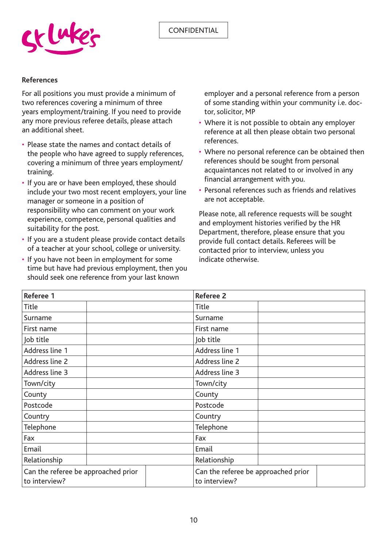

#### **References**

For all positions you must provide a minimum of two references covering a minimum of three years employment/training. If you need to provide any more previous referee details, please attach an additional sheet.

- Please state the names and contact details of the people who have agreed to supply references, covering a minimum of three years employment/ training.
- If you are or have been employed, these should include your two most recent employers, your line manager or someone in a position of responsibility who can comment on your work experience, competence, personal qualities and suitability for the post.
- If you are a student please provide contact details of a teacher at your school, college or university.
- If you have not been in employment for some time but have had previous employment, then you should seek one reference from your last known

employer and a personal reference from a person of some standing within your community i.e. doctor, solicitor, MP

- Where it is not possible to obtain any employer reference at all then please obtain two personal references.
- Where no personal reference can be obtained then references should be sought from personal acquaintances not related to or involved in any financial arrangement with you.
- Personal references such as friends and relatives are not acceptable.

Please note, all reference requests will be sought and employment histories verified by the HR Department, therefore, please ensure that you provide full contact details. Referees will be contacted prior to interview, unless you indicate otherwise.

| Referee 1                                            |  | <b>Referee 2</b>                                     |  |
|------------------------------------------------------|--|------------------------------------------------------|--|
| <b>Title</b>                                         |  | Title                                                |  |
| Surname                                              |  | Surname                                              |  |
| First name                                           |  | First name                                           |  |
| Job title                                            |  | Job title                                            |  |
| Address line 1                                       |  | Address line 1                                       |  |
| Address line 2                                       |  | Address line 2                                       |  |
| Address line 3                                       |  | Address line 3                                       |  |
| Town/city                                            |  | Town/city                                            |  |
| County                                               |  | County                                               |  |
| Postcode                                             |  | Postcode                                             |  |
| Country                                              |  | Country                                              |  |
| Telephone                                            |  | Telephone                                            |  |
| Fax                                                  |  | Fax                                                  |  |
| Email                                                |  | Email                                                |  |
| Relationship                                         |  | Relationship                                         |  |
| Can the referee be approached prior<br>to interview? |  | Can the referee be approached prior<br>to interview? |  |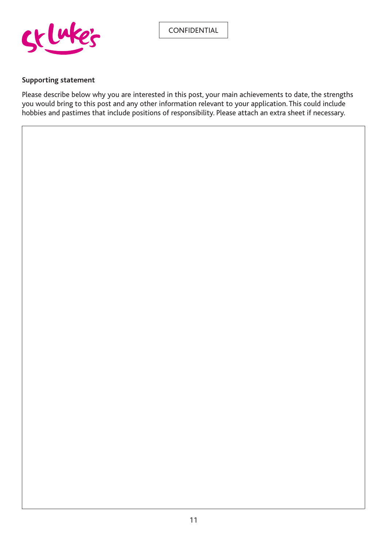

#### **Supporting statement**

Please describe below why you are interested in this post, your main achievements to date, the strengths you would bring to this post and any other information relevant to your application. This could include hobbies and pastimes that include positions of responsibility. Please attach an extra sheet if necessary.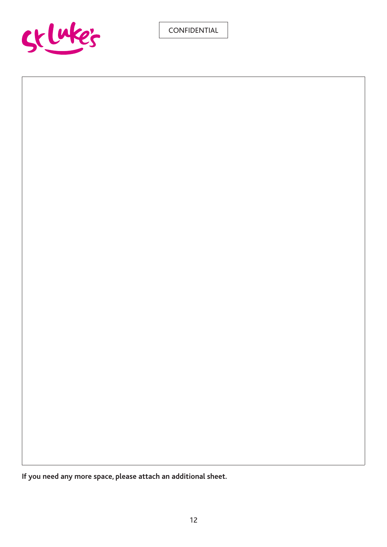

**If you need any more space, please attach an additional sheet.**